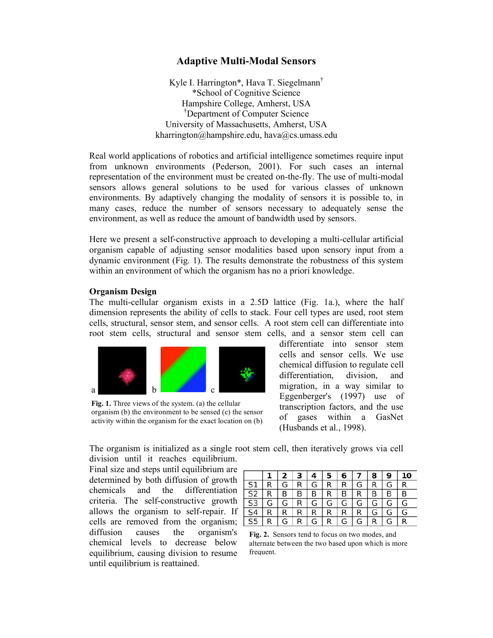## **Adaptive Multi-Modal Sensors**

Kyle I. Harrington\*, Hava T. Siegelmann† \*School of Cognitive Science Hampshire College, Amherst, USA † Department of Computer Science University of Massachusetts, Amherst, USA kharrington@hampshire.edu, hava@cs.umass.edu

Real world applications of robotics and artificial intelligence sometimes require input from unknown environments (Pederson, 2001). For such cases an internal representation of the environment must be created on-the-fly. The use of multi-modal sensors allows general solutions to be used for various classes of unknown environments. By adaptively changing the modality of sensors it is possible to, in many cases, reduce the number of sensors necessary to adequately sense the environment, as well as reduce the amount of bandwidth used by sensors.

Here we present a self-constructive approach to developing a multi-cellular artificial organism capable of adjusting sensor modalities based upon sensory input from a dynamic environment (Fig. 1). The results demonstrate the robustness of this system within an environment of which the organism has no a priori knowledge.

## **Organism Design**

The multi-cellular organism exists in a 2.5D lattice (Fig. 1a.), where the half dimension represents the ability of cells to stack. Four cell types are used, root stem cells, structural, sensor stem, and sensor cells. A root stem cell can differentiate into root stem cells, structural and sensor stem cells, and a sensor stem cell can



**Fig. 1.** Three views of the system. (a) the cellular organism (b) the environment to be sensed (c) the sensor activity within the organism for the exact location on (b)

differentiate into sensor stem cells and sensor cells. We use chemical diffusion to regulate cell differentiation, division, and migration, in a way similar to Eggenberger's (1997) use of transcription factors, and the use of gases within a GasNet (Husbands et al., 1998).

The organism is initialized as a single root stem cell, then iteratively grows via cell division until it reaches equilibrium.

Final size and steps until equilibrium are determined by both diffusion of growth chemicals and the differentiation criteria. The self-constructive growth allows the organism to self-repair. If cells are removed from the organism; diffusion causes the organism's chemical levels to decrease below equilibrium, causing division to resume until equilibrium is reattained.

|                          |                |     |             | $2 \mid 3 \mid 4 \mid 5 \mid 6 \mid 7 \mid 8 \mid 9 \mid 10$ |           |                |              |
|--------------------------|----------------|-----|-------------|--------------------------------------------------------------|-----------|----------------|--------------|
| SI   R                   |                | GI  |             | $R$ $G$ $R$ $R$ $G$ $R$ $G$                                  |           |                | $\mathsf{R}$ |
| S2 R                     |                | B I |             | $B$ $B$ $R$ $B$ $R$ $B$                                      |           | B <sub>1</sub> | B            |
| $\overline{S3}$          | l G            | G   |             | $R$ $G$ $G$ $G$ $G$ $G$ $G$ $G$                              |           |                |              |
| $\overline{\mathsf{S}4}$ | $\overline{R}$ | R   |             | $R$ $R$ $R$ $R$ $R$ $G$ $G$                                  |           |                |              |
| $\overline{\mathsf{S5}}$ | R              | G   | $R$ $G$ $R$ | l G                                                          | $G$ R $G$ |                | R            |

**Fig. 2.** Sensors tend to focus on two modes, and alternate between the two based upon which is more frequent.